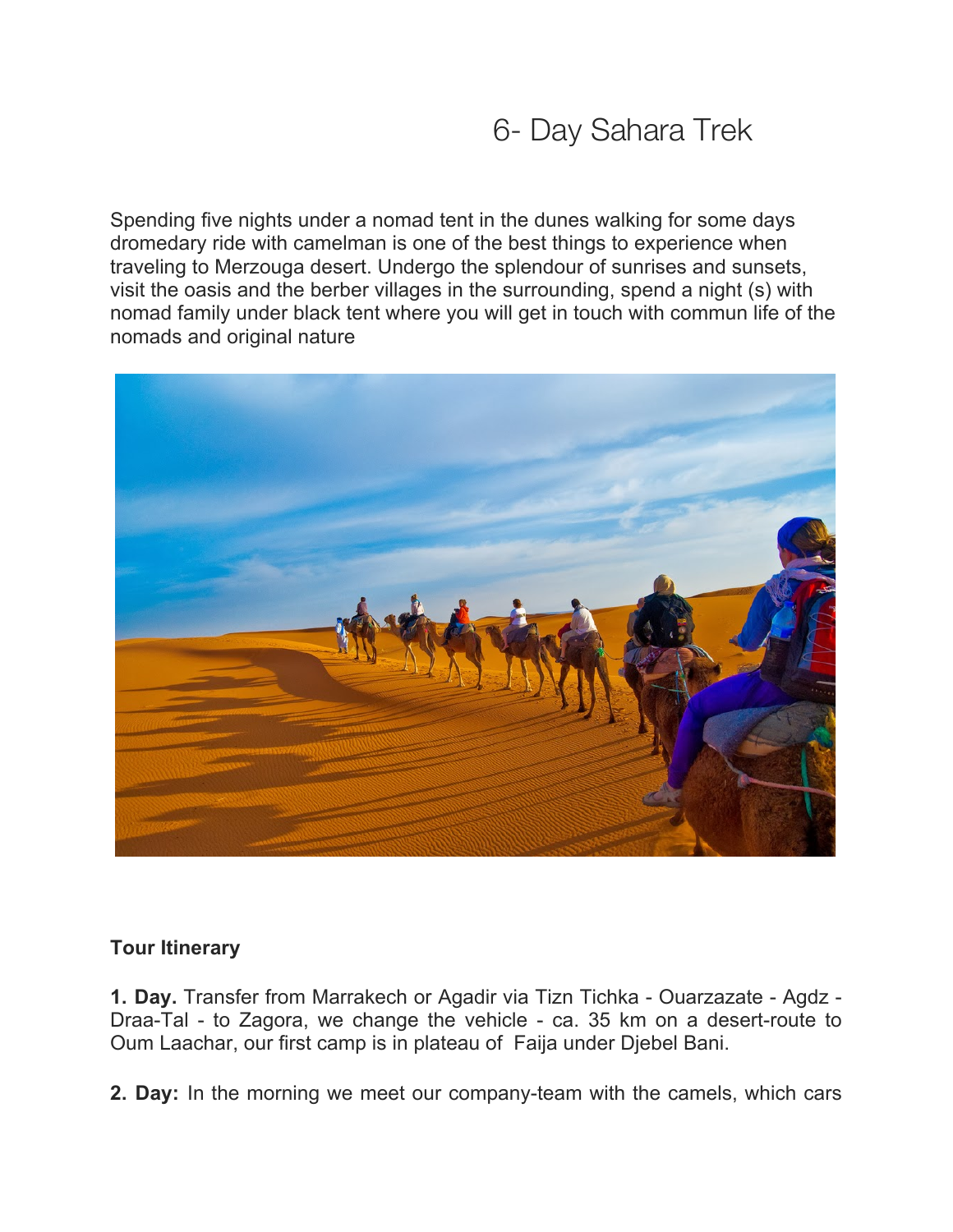# 6- Day Sahara Trek

Spending five nights under a nomad tent in the dunes walking for some days dromedary ride with camelman is one of the best things to experience when traveling to Merzouga desert. Undergo the splendour of sunrises and sunsets, visit the oasis and the berber villages in the surrounding, spend a night (s) with nomad family under black tent where you will get in touch with commun life of the nomads and original nature



### **Tour Itinerary**

**1. Day.** Transfer from Marrakech or Agadir via Tizn Tichka - Ouarzazate - Agdz - Draa-Tal - to Zagora, we change the vehicle - ca. 35 km on a desert-route to Oum Laachar, our first camp is in plateau of Faija under Djebel Bani.

**2. Day:** In the morning we meet our company-team with the camels, which cars